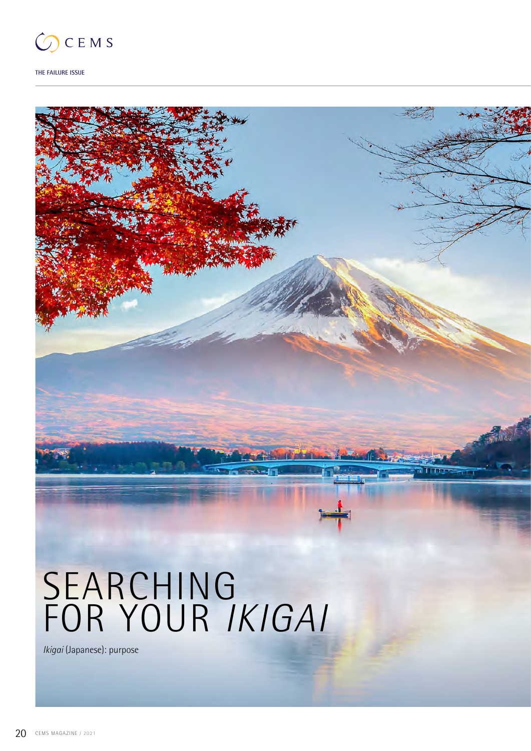

**THE FAILURE ISSUE**

# SEARCHING FOR YOUR *IKIGAI*

*Ikigai* (Japanese): purpose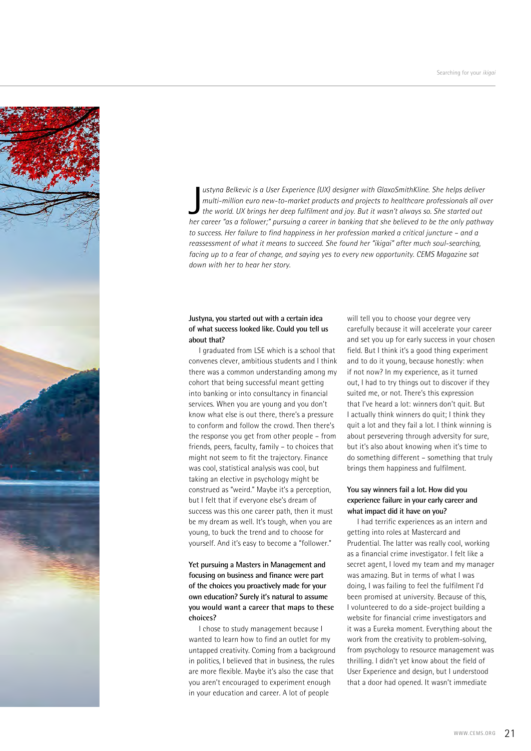

ustyna Belkevic is a User Experience (UX) designer with GlaxoSmithKline. She helps deliver<br>multi-million euro new-to-market products and projects to healthcare professionals all over<br>the world. UX brings her deep fulfilmen *ustyna Belkevic is a User Experience (UX) designer with GlaxoSmithKline. She helps deliver multi-million euro new-to-market products and projects to healthcare professionals all over the world. UX brings her deep fulfilment and joy. But it wasn't always so. She started out to success. Her failure to find happiness in her profession marked a critical juncture – and a reassessment of what it means to succeed. She found her "ikigai" after much soul-searching, facing up to a fear of change, and saying yes to every new opportunity. CEMS Magazine sat down with her to hear her story.*

# **Justyna, you started out with a certain idea of what success looked like. Could you tell us about that?**

I graduated from LSE which is a school that convenes clever, ambitious students and I think there was a common understanding among my cohort that being successful meant getting into banking or into consultancy in financial services. When you are young and you don't know what else is out there, there's a pressure to conform and follow the crowd. Then there's the response you get from other people – from friends, peers, faculty, family – to choices that might not seem to fit the trajectory. Finance was cool, statistical analysis was cool, but taking an elective in psychology might be construed as "weird." Maybe it's a perception, but I felt that if everyone else's dream of success was this one career path, then it must be my dream as well. It's tough, when you are young, to buck the trend and to choose for yourself. And it's easy to become a "follower."

# **Yet pursuing a Masters in Management and focusing on business and finance were part of the choices you proactively made for your own education? Surely it's natural to assume you would want a career that maps to these choices?**

I chose to study management because I wanted to learn how to find an outlet for my untapped creativity. Coming from a background in politics, I believed that in business, the rules are more flexible. Maybe it's also the case that you aren't encouraged to experiment enough in your education and career. A lot of people

will tell you to choose your degree very carefully because it will accelerate your career and set you up for early success in your chosen field. But I think it's a good thing experiment and to do it young, because honestly: when if not now? In my experience, as it turned out, I had to try things out to discover if they suited me, or not. There's this expression that I've heard a lot: winners don't quit. But I actually think winners do quit; I think they quit a lot and they fail a lot. I think winning is about persevering through adversity for sure, but it's also about knowing when it's time to do something different – something that truly brings them happiness and fulfilment.

# **You say winners fail a lot. How did you experience failure in your early career and what impact did it have on you?**

I had terrific experiences as an intern and getting into roles at Mastercard and Prudential. The latter was really cool, working as a financial crime investigator. I felt like a secret agent, I loved my team and my manager was amazing. But in terms of what I was doing, I was failing to feel the fulfilment I'd been promised at university. Because of this, I volunteered to do a side-project building a website for financial crime investigators and it was a Eureka moment. Everything about the work from the creativity to problem-solving, from psychology to resource management was thrilling. I didn't yet know about the field of User Experience and design, but I understood that a door had opened. It wasn't immediate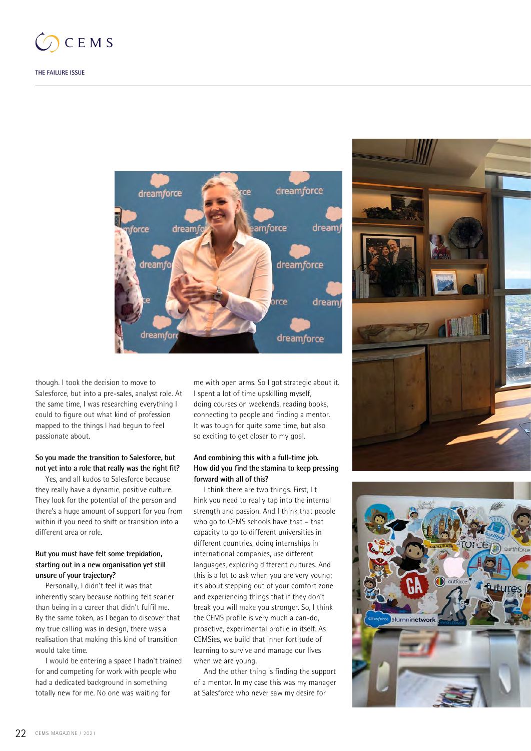



though. I took the decision to move to Salesforce, but into a pre-sales, analyst role. At the same time, I was researching everything I could to figure out what kind of profession mapped to the things I had begun to feel passionate about.

## **So you made the transition to Salesforce, but not yet into a role that really was the right fit?**

Yes, and all kudos to Salesforce because they really have a dynamic, positive culture. They look for the potential of the person and there's a huge amount of support for you from within if you need to shift or transition into a different area or role.

# **But you must have felt some trepidation, starting out in a new organisation yet still unsure of your trajectory?**

Personally, I didn't feel it was that inherently scary because nothing felt scarier than being in a career that didn't fulfil me. By the same token, as I began to discover that my true calling was in design, there was a realisation that making this kind of transition would take time.

I would be entering a space I hadn't trained for and competing for work with people who had a dedicated background in something totally new for me. No one was waiting for

me with open arms. So I got strategic about it. I spent a lot of time upskilling myself, doing courses on weekends, reading books, connecting to people and finding a mentor. It was tough for quite some time, but also so exciting to get closer to my goal.

# **And combining this with a full-time job. How did you find the stamina to keep pressing forward with all of this?**

I think there are two things. First, I t hink you need to really tap into the internal strength and passion. And I think that people who go to CEMS schools have that – that capacity to go to different universities in different countries, doing internships in international companies, use different languages, exploring different cultures. And this is a lot to ask when you are very young; it's about stepping out of your comfort zone and experiencing things that if they don't break you will make you stronger. So, I think the CEMS profile is very much a can-do, proactive, experimental profile in itself. As CEMSies, we build that inner fortitude of learning to survive and manage our lives when we are young.

And the other thing is finding the support of a mentor. In my case this was my manager at Salesforce who never saw my desire for